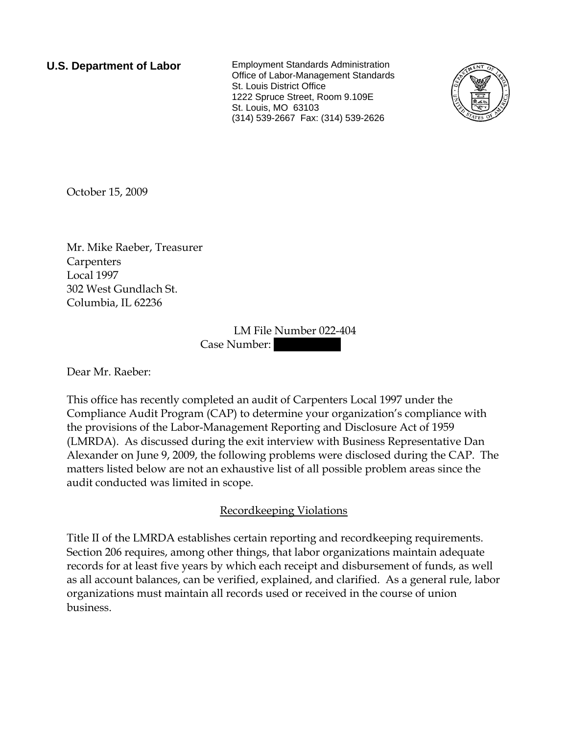**U.S. Department of Labor** Employment Standards Administration Office of Labor-Management Standards St. Louis District Office 1222 Spruce Street, Room 9.109E St. Louis, MO 63103 (314) 539-2667 Fax: (314) 539-2626



October 15, 2009

Mr. Mike Raeber, Treasurer **Carpenters** Local 1997 302 West Gundlach St. Columbia, IL 62236

> LM File Number 022-404 Case Number:

Dear Mr. Raeber:

This office has recently completed an audit of Carpenters Local 1997 under the Compliance Audit Program (CAP) to determine your organization's compliance with the provisions of the Labor-Management Reporting and Disclosure Act of 1959 (LMRDA). As discussed during the exit interview with Business Representative Dan Alexander on June 9, 2009, the following problems were disclosed during the CAP. The matters listed below are not an exhaustive list of all possible problem areas since the audit conducted was limited in scope.

## Recordkeeping Violations

Title II of the LMRDA establishes certain reporting and recordkeeping requirements. Section 206 requires, among other things, that labor organizations maintain adequate records for at least five years by which each receipt and disbursement of funds, as well as all account balances, can be verified, explained, and clarified. As a general rule, labor organizations must maintain all records used or received in the course of union business.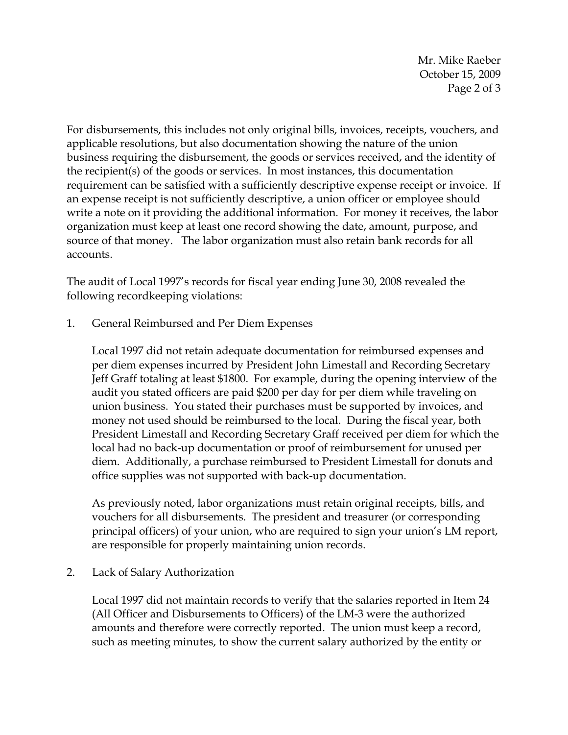Mr. Mike Raeber October 15, 2009 Page 2 of 3

For disbursements, this includes not only original bills, invoices, receipts, vouchers, and applicable resolutions, but also documentation showing the nature of the union business requiring the disbursement, the goods or services received, and the identity of the recipient(s) of the goods or services. In most instances, this documentation requirement can be satisfied with a sufficiently descriptive expense receipt or invoice. If an expense receipt is not sufficiently descriptive, a union officer or employee should write a note on it providing the additional information. For money it receives, the labor organization must keep at least one record showing the date, amount, purpose, and source of that money. The labor organization must also retain bank records for all accounts.

The audit of Local 1997's records for fiscal year ending June 30, 2008 revealed the following recordkeeping violations:

1. General Reimbursed and Per Diem Expenses

Local 1997 did not retain adequate documentation for reimbursed expenses and per diem expenses incurred by President John Limestall and Recording Secretary Jeff Graff totaling at least \$1800. For example, during the opening interview of the audit you stated officers are paid \$200 per day for per diem while traveling on union business. You stated their purchases must be supported by invoices, and money not used should be reimbursed to the local. During the fiscal year, both President Limestall and Recording Secretary Graff received per diem for which the local had no back-up documentation or proof of reimbursement for unused per diem. Additionally, a purchase reimbursed to President Limestall for donuts and office supplies was not supported with back-up documentation.

As previously noted, labor organizations must retain original receipts, bills, and vouchers for all disbursements. The president and treasurer (or corresponding principal officers) of your union, who are required to sign your union's LM report, are responsible for properly maintaining union records.

2. Lack of Salary Authorization

Local 1997 did not maintain records to verify that the salaries reported in Item 24 (All Officer and Disbursements to Officers) of the LM-3 were the authorized amounts and therefore were correctly reported. The union must keep a record, such as meeting minutes, to show the current salary authorized by the entity or